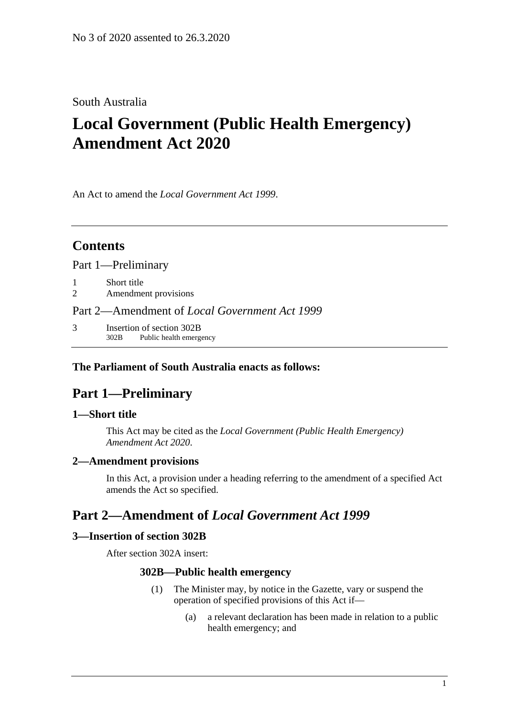### South Australia

# **Local Government (Public Health Emergency) Amendment Act 2020**

An Act to amend the *[Local Government Act](http://www.legislation.sa.gov.au/index.aspx?action=legref&type=act&legtitle=Local%20Government%20Act%201999) 1999*.

### **Contents**

Part [1—Preliminary](#page-0-0)

- 1 [Short title](#page-0-1)
- 2 [Amendment provisions](#page-0-2)

Part 2—Amendment of *[Local Government Act](#page-0-3) 1999*

3 [Insertion of section 302B](#page-0-4) 302B Public health emergency

#### <span id="page-0-0"></span>**The Parliament of South Australia enacts as follows:**

## **Part 1—Preliminary**

#### <span id="page-0-1"></span>**1—Short title**

This Act may be cited as the *Local Government (Public Health Emergency) Amendment Act 2020*.

#### <span id="page-0-2"></span>**2—Amendment provisions**

In this Act, a provision under a heading referring to the amendment of a specified Act amends the Act so specified.

## <span id="page-0-3"></span>**Part 2—Amendment of** *Local Government Act 1999*

#### <span id="page-0-4"></span>**3—Insertion of section 302B**

After section 302A insert:

#### **302B—Public health emergency**

- (1) The Minister may, by notice in the Gazette, vary or suspend the operation of specified provisions of this Act if—
	- (a) a relevant declaration has been made in relation to a public health emergency; and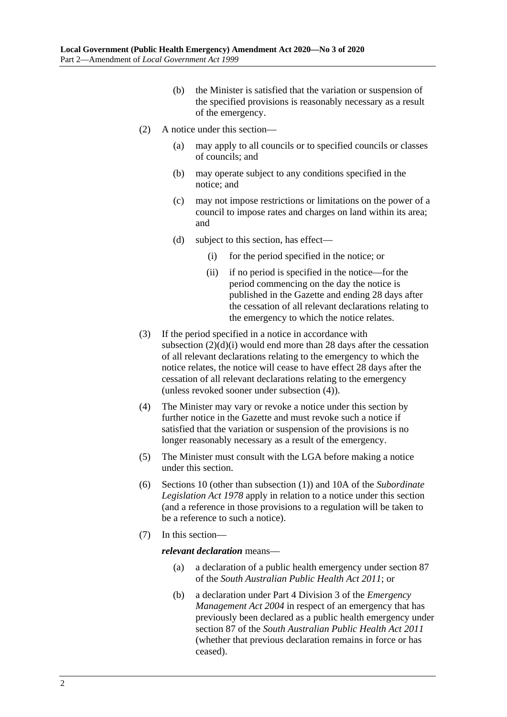- (b) the Minister is satisfied that the variation or suspension of the specified provisions is reasonably necessary as a result of the emergency.
- (2) A notice under this section—
	- (a) may apply to all councils or to specified councils or classes of councils; and
	- (b) may operate subject to any conditions specified in the notice; and
	- (c) may not impose restrictions or limitations on the power of a council to impose rates and charges on land within its area; and
	- (d) subject to this section, has effect—
		- (i) for the period specified in the notice; or
		- (ii) if no period is specified in the notice—for the period commencing on the day the notice is published in the Gazette and ending 28 days after the cessation of all relevant declarations relating to the emergency to which the notice relates.
- <span id="page-1-0"></span>(3) If the period specified in a notice in accordance with [subsection](#page-1-0)  $(2)(d)(i)$  would end more than 28 days after the cessation of all relevant declarations relating to the emergency to which the notice relates, the notice will cease to have effect 28 days after the cessation of all relevant declarations relating to the emergency (unless revoked sooner under [subsection](#page-1-1) (4)).
- <span id="page-1-1"></span>(4) The Minister may vary or revoke a notice under this section by further notice in the Gazette and must revoke such a notice if satisfied that the variation or suspension of the provisions is no longer reasonably necessary as a result of the emergency.
- (5) The Minister must consult with the LGA before making a notice under this section.
- (6) Sections 10 (other than subsection (1)) and 10A of the *[Subordinate](http://www.legislation.sa.gov.au/index.aspx?action=legref&type=act&legtitle=Subordinate%20Legislation%20Act%201978)  [Legislation Act](http://www.legislation.sa.gov.au/index.aspx?action=legref&type=act&legtitle=Subordinate%20Legislation%20Act%201978) 1978* apply in relation to a notice under this section (and a reference in those provisions to a regulation will be taken to be a reference to such a notice).
- (7) In this section—

*relevant declaration* means—

- (a) a declaration of a public health emergency under section 87 of the *[South Australian Public Health Act](http://www.legislation.sa.gov.au/index.aspx?action=legref&type=act&legtitle=South%20Australian%20Public%20Health%20Act%202011) 2011*; or
- (b) a declaration under Part 4 Division 3 of the *[Emergency](http://www.legislation.sa.gov.au/index.aspx?action=legref&type=act&legtitle=Emergency%20Management%20Act%202004)  [Management Act](http://www.legislation.sa.gov.au/index.aspx?action=legref&type=act&legtitle=Emergency%20Management%20Act%202004) 2004* in respect of an emergency that has previously been declared as a public health emergency under section 87 of the *[South Australian Public Health Act](http://www.legislation.sa.gov.au/index.aspx?action=legref&type=act&legtitle=South%20Australian%20Public%20Health%20Act%202011) 2011* (whether that previous declaration remains in force or has ceased).